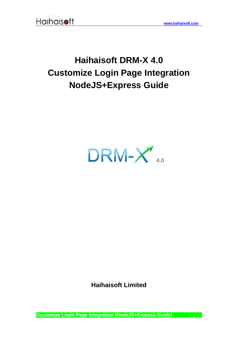

# **Haihaisoft DRM-X 4.0 Customize Login Page Integration NodeJS+Express Guide**



**Haihaisoft Limited**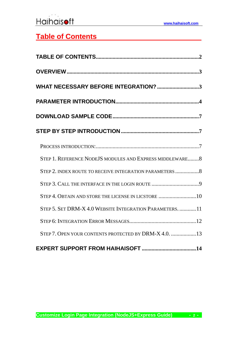# <span id="page-1-0"></span>**Table of Contents**

| WHAT NECESSARY BEFORE INTEGRATION? 3                      |
|-----------------------------------------------------------|
|                                                           |
|                                                           |
|                                                           |
|                                                           |
| STEP 1. REFERENCE NODEJS MODULES AND EXPRESS MIDDLEWARE 8 |
| STEP 2. INDEX ROUTE TO RECEIVE INTEGRATION PARAMETERS  8  |
|                                                           |
| STEP 4. OBTAIN AND STORE THE LICENSE IN LICSTORE 10       |
| STEP 5. SET DRM-X 4.0 WEBSITE INTEGRATION PARAMETERS.  11 |
|                                                           |
| STEP 7. OPEN YOUR CONTENTS PROTECTED BY DRM-X 4.0.  13    |
|                                                           |

<span id="page-1-1"></span>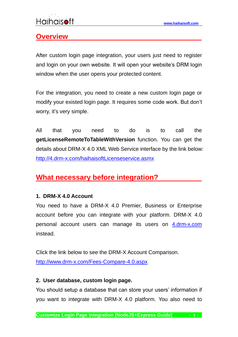# **Overview**

After custom login page integration, your users just need to register and login on your own website. It will open your website's DRM login window when the user opens your protected content.

For the integration, you need to create a new custom login page or modify your existed login page. It requires some code work. But don't worry, it's very simple.

All that you need to do is to call the **getLicenseRemoteToTableWithVersion** function. You can get the details about DRM-X 4.0 XML Web Service interface by the link below: <http://4.drm-x.com/haihaisoftLicenseservice.asmx>

# <span id="page-2-0"></span>**What necessary before integration?**

### **1. DRM-X 4.0 Account**

You need to have a DRM-X 4.0 Premier, Business or Enterprise account before you can integrate with your platform. DRM-X 4.0 personal account users can manage its users on [4.drm-x.com](http://4.drm-x.com/) instead.

Click the link below to see the DRM-X Account Comparison. <http://www.drm-x.com/Fees-Compare-4.0.aspx>

#### **2. User database, custom login page.**

You should setup a database that can store your users' information if you want to integrate with DRM-X 4.0 platform. You also need to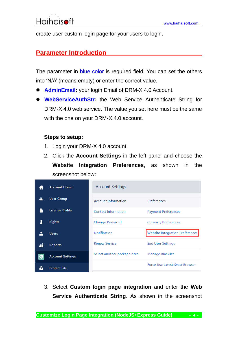<span id="page-3-0"></span>create user custom login page for your users to login.

### **Parameter Introduction**

The parameter in blue color is required field. You can set the others into 'N/A' (means empty) or enter the correct value.

- **AdminEmail:** your login Email of DRM-X 4.0 Account.
- ⚫ **WebServiceAuthStr:** the Web Service Authenticate String for DRM-X 4.0 web service. The value you set here must be the same with the one on your DRM-X 4.0 account.

#### **Steps to setup:**

- 1. Login your DRM-X 4.0 account.
- 2. Click the **Account Settings** in the left panel and choose the **Website Integration Preferences**, as shown in the screenshot below:

|     | <b>Account Home</b>     | <b>Account Settings</b>     |                                 |
|-----|-------------------------|-----------------------------|---------------------------------|
|     | <b>User Group</b>       | <b>Account Information</b>  | Preferences                     |
|     | License Profile         | <b>Contact Information</b>  | <b>Payment Preferences</b>      |
|     | <b>Rights</b>           | <b>Change Password</b>      | <b>Currency Preferences</b>     |
|     | <b>Users</b>            | <b>Notification</b>         | Website Integration Preferences |
| íí  | <b>Reports</b>          | <b>Renew Service</b>        | <b>End User Settings</b>        |
| <6> | <b>Account Settings</b> | Select another package here | Manage Blacklist                |
|     | <b>Protect File</b>     |                             | Force Use Latest Xvast Browser  |

3. Select **Custom login page integration** and enter the **Web Service Authenticate String**. As shown in the screenshot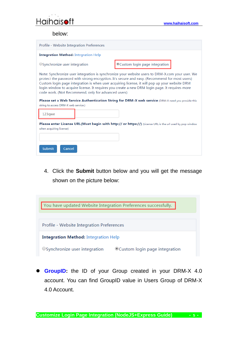

below:

| Profile - Website Integration Preferences                                                                                                                                                                                                                                                                                                                                                                                                                                                                                                                       |                                                                                                                 |  |
|-----------------------------------------------------------------------------------------------------------------------------------------------------------------------------------------------------------------------------------------------------------------------------------------------------------------------------------------------------------------------------------------------------------------------------------------------------------------------------------------------------------------------------------------------------------------|-----------------------------------------------------------------------------------------------------------------|--|
| <b>Integration Method: Integration Help</b>                                                                                                                                                                                                                                                                                                                                                                                                                                                                                                                     |                                                                                                                 |  |
| OSynchronize user integration                                                                                                                                                                                                                                                                                                                                                                                                                                                                                                                                   | ©Custom login page integration                                                                                  |  |
| Note: Synchronize user integration is synchronize your website users to DRM-X.com your user. We<br>protect the password with strong encryption. It's secure and easy. (Recommend for most users)<br>Custom login page integration is when user acquiring license, it will pop up your website DRM<br>login window to acquire license. It requires you create a new DRM login page. It requires more<br>code work. (Not Recommend, only for advanced users)<br>Please set a Web Service Authentication String for DRM-X web service (DRM-X need you provide this |                                                                                                                 |  |
| string to access DRM-X web service.)                                                                                                                                                                                                                                                                                                                                                                                                                                                                                                                            |                                                                                                                 |  |
| 123qwe                                                                                                                                                                                                                                                                                                                                                                                                                                                                                                                                                          |                                                                                                                 |  |
| when acquiring license)                                                                                                                                                                                                                                                                                                                                                                                                                                                                                                                                         | <b>Please enter License URL(Must begin with http:// or https://)</b> (License URL is the url used by pop window |  |
| <b>Submit</b><br>Cancel                                                                                                                                                                                                                                                                                                                                                                                                                                                                                                                                         |                                                                                                                 |  |

4. Click the **Submit** button below and you will get the message shown on the picture below:



**GroupID:** the ID of your Group created in your DRM-X 4.0 account. You can find GroupID value in Users Group of DRM-X 4.0 Account.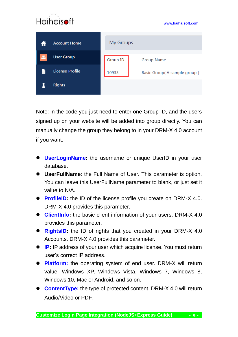# **[www.haihaisoft.com](http://www.haihaisoft.com/)**



Note: in the code you just need to enter one Group ID, and the users signed up on your website will be added into group directly. You can manually change the group they belong to in your DRM-X 4.0 account if you want.

- ⚫ **UserLoginName:** the username or unique UserID in your user database.
- ⚫ **UserFullName**: the Full Name of User. This parameter is option. You can leave this UserFullName parameter to blank, or just set it value to N/A.
- **ProfileID:** the ID of the license profile you create on DRM-X 4.0. DRM-X 4.0 provides this parameter.
- ⚫ **ClientInfo:** the basic client information of your users. DRM-X 4.0 provides this parameter.
- **RightsID:** the ID of rights that you created in your DRM-X 4.0 Accounts. DRM-X 4.0 provides this parameter.
- **IP:** IP address of your user which acquire license. You must return user's correct IP address.
- ⚫ **Platform:** the operating system of end user. DRM-X will return value: Windows XP, Windows Vista, Windows 7, Windows 8, Windows 10, Mac or Android, and so on.
- ⚫ **ContentType:** the type of protected content, DRM-X 4.0 will return Audio/Video or PDF.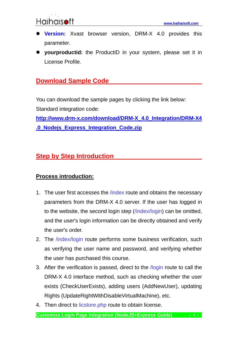- ⚫ **Version:** Xvast browser version, DRM-X 4.0 provides this parameter.
- ⚫ **yourproductid:** the ProductID in your system, please set it in License Profile.

## <span id="page-6-0"></span>**Download Sample Code**

You can download the sample pages by clicking the link below: Standard integration code:

**[http://www.drm-x.com/download/DRM-X\\_4.0\\_Integration/DRM-X4](http://www.drm-x.com/download/DRM-X_4.0_Integration/DRM-X4.0_Nodejs_Express_Integration_Code.zip) [.0\\_Nodejs\\_Express\\_Integration\\_Code.zip](http://www.drm-x.com/download/DRM-X_4.0_Integration/DRM-X4.0_Nodejs_Express_Integration_Code.zip)**

## <span id="page-6-1"></span>**Step by Step Introduction**

#### <span id="page-6-2"></span>**Process introduction:**

- 1. The user first accesses the *lindex* route and obtains the necessary parameters from the DRM-X 4.0 server. If the user has logged in to the website, the second login step (/index/login) can be omitted, and the user's login information can be directly obtained and verify the user's order.
- 2. The /index/login route performs some business verification, such as verifying the user name and password, and verifying whether the user has purchased this course.
- 3. After the verification is passed, direct to the *login* route to call the DRM-X 4.0 interface method, such as checking whether the user exists (CheckUserExists), adding users (AddNewUser), updating Rights (UpdateRightWithDisableVirtualMachine), etc.
- 4. Then direct to licstore.php route to obtain license.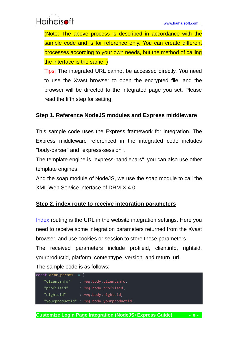(Note: The above process is described in accordance with the sample code and is for reference only. You can create different processes according to your own needs, but the method of calling the interface is the same. )

Tips: The integrated URL cannot be accessed directly. You need to use the Xvast browser to open the encrypted file, and the browser will be directed to the integrated page you set. Please read the fifth step for setting.

#### <span id="page-7-0"></span>**Step 1. Reference NodeJS modules and Express middleware**

This sample code uses the Express framework for integration. The Express middleware referenced in the integrated code includes "body-parser" and "express-session".

The template engine is "express-handlebars", you can also use other template engines.

And the soap module of NodeJS, we use the soap module to call the XML Web Service interface of DRM-X 4.0.

#### <span id="page-7-1"></span>**Step 2. index route to receive integration parameters**

Index routing is the URL in the website integration settings. Here you need to receive some integration parameters returned from the Xvast browser, and use cookies or session to store these parameters. The received parameters include profileid, clientinfo, rightsid, yourproductid, platform, contenttype, version, and return\_url.

The sample code is as follows:

| "clientinfo"<br>: req.body.clientinfo,<br>: req.body.profileid,<br>"profileid"<br>: req.body.rightsid,<br>"rightsid"<br>"yourproductid" : req.body.yourproductid, | const drmx params = $\{$ |  |
|-------------------------------------------------------------------------------------------------------------------------------------------------------------------|--------------------------|--|
|                                                                                                                                                                   |                          |  |
|                                                                                                                                                                   |                          |  |
|                                                                                                                                                                   |                          |  |
|                                                                                                                                                                   |                          |  |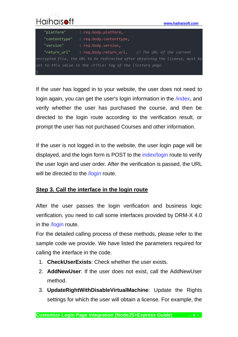| Haihaisoft    |                                                                               | www.haihaisoft.com |
|---------------|-------------------------------------------------------------------------------|--------------------|
| "platform"    | : req.body.platform,                                                          |                    |
| "contenttype" | : req.body.contenttype,                                                       |                    |
| "version"     | : req.body.version,                                                           |                    |
| "return url"  | : req.body.return $url,$ // The URL of the current                            |                    |
|               | encrypted file, the URL to be redirected after obtaining the license, must be |                    |
|               | set to this value in the <title> tag of the licstore page</title>             |                    |
|               |                                                                               |                    |

 $\begin{smallmatrix}&0&\cdots&0\\0&&&0\end{smallmatrix}$ 

If the user has logged in to your website, the user does not need to login again, you can get the user's login information in the *lindex*, and verify whether the user has purchased the course, and then be directed to the login route according to the verification result, or prompt the user has not purchased Courses and other information.

If the user is not logged in to the website, the user login page will be displayed, and the login form is POST to the index/login route to verify the user login and user order. After the verification is passed, the URL will be directed to the */login* route.

### <span id="page-8-0"></span>**Step 3. Call the interface in the login route**

After the user passes the login verification and business logic verification, you need to call some interfaces provided by DRM-X 4.0 in the /login route.

For the detailed calling process of these methods, please refer to the sample code we provide. We have listed the parameters required for calling the interface in the code.

- 1. **CheckUserExists**: Check whether the user exists.
- 2. **AddNewUser**: If the user does not exist, call the AddNewUser method.
- 3. **UpdateRightWithDisableVirtualMachine**: Update the Rights settings for which the user will obtain a license. For example, the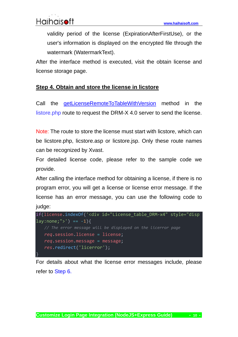# **[www.haihaisoft.com](http://www.haihaisoft.com/)**

validity period of the license (ExpirationAfterFirstUse), or the user's information is displayed on the encrypted file through the watermark (WatermarkText).

After the interface method is executed, visit the obtain license and license storage page.

## <span id="page-9-0"></span>**Step 4. Obtain and store the license in licstore**

Call the [getLicenseRemoteToTableWithVersion](4.drm-x.com/haihaisoftLicenseservice.asmx?op=getLicenseRemoteToTableWithVersion) method in the listore.php route to request the DRM-X 4.0 server to send the license.

Note: The route to store the license must start with licstore, which can be licstore.php, licstore.asp or licstore.jsp. Only these route names can be recognized by Xvast.

For detailed license code, please refer to the sample code we provide.

After calling the interface method for obtaining a license, if there is no program error, you will get a license or license error message. If the license has an error message, you can use the following code to judge:

```
if(license.indexOf('<div id="License_table_DRM-x4" style="disp
lay:none;">') == -1){
   // The error message will be displayed on the licerror page
   req.session.license = license;
   req.session.message = message;
   res.redirect('licerror');
}
```
For details about what the license error messages include, please refer to [Step 6.](#page-11-0)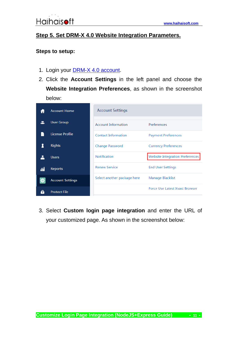#### <span id="page-10-0"></span>**Step 5. Set DRM-X 4.0 Website Integration Parameters.**

#### **Steps to setup:**

- 1. Login your **DRM-X 4.0 account**.
- 2. Click the **Account Settings** in the left panel and choose the **Website Integration Preferences**, as shown in the screenshot below:

|    | <b>Account Home</b>     | <b>Account Settings</b>     |                                        |
|----|-------------------------|-----------------------------|----------------------------------------|
|    |                         |                             |                                        |
|    | <b>User Group</b>       | <b>Account Information</b>  | Preferences                            |
|    | License Profile         | <b>Contact Information</b>  | <b>Payment Preferences</b>             |
|    | <b>Rights</b>           | <b>Change Password</b>      | <b>Currency Preferences</b>            |
|    | <b>Users</b>            | <b>Notification</b>         | <b>Website Integration Preferences</b> |
| îĺ | <b>Reports</b>          | <b>Renew Service</b>        | <b>End User Settings</b>               |
|    | <b>Account Settings</b> | Select another package here | Manage Blacklist                       |
|    |                         |                             |                                        |
|    | <b>Protect File</b>     |                             | <b>Force Use Latest Xvast Browser</b>  |

3. Select **Custom login page integration** and enter the URL of your customized page. As shown in the screenshot below: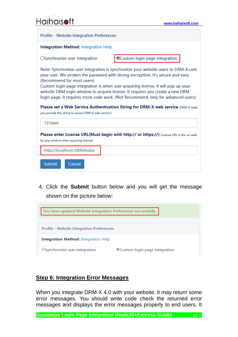|  | <b>Haihaisoft</b> |
|--|-------------------|

| Profile - Website Integration Preferences                                                                                                                                                                                                                                                                                                                                                                                                                                                                                                                                                                  |  |  |
|------------------------------------------------------------------------------------------------------------------------------------------------------------------------------------------------------------------------------------------------------------------------------------------------------------------------------------------------------------------------------------------------------------------------------------------------------------------------------------------------------------------------------------------------------------------------------------------------------------|--|--|
| <b>Integration Method: Integration Help</b>                                                                                                                                                                                                                                                                                                                                                                                                                                                                                                                                                                |  |  |
| <b>OCustom login page integration</b><br>OSynchronize user integration                                                                                                                                                                                                                                                                                                                                                                                                                                                                                                                                     |  |  |
| Note: Synchronize user integration is synchronize your website users to DRM-X.com<br>your user. We protect the password with strong encryption. It's secure and easy.<br>(Recommend for most users)<br>Custom login page integration is when user acquiring license, it will pop up your<br>website DRM login window to acquire license. It requires you create a new DRM<br>login page. It requires more code work. (Not Recommend, only for advanced users)<br>Please set a Web Service Authentication String for DRM-X web service (DRM-X need<br>you provide this string to access DRM-X web service.) |  |  |
|                                                                                                                                                                                                                                                                                                                                                                                                                                                                                                                                                                                                            |  |  |
| 123qwe                                                                                                                                                                                                                                                                                                                                                                                                                                                                                                                                                                                                     |  |  |
| Please enter License URL(Must begin with http:// or https://) (License URL is the url used<br>by pop window when acquiring license)                                                                                                                                                                                                                                                                                                                                                                                                                                                                        |  |  |
| http://localhost:3000/index                                                                                                                                                                                                                                                                                                                                                                                                                                                                                                                                                                                |  |  |

4. Click the **Submit** button below and you will get the message shown on the picture below:

| You have updated Website Integration Preferences successfully. |                                |  |
|----------------------------------------------------------------|--------------------------------|--|
| Profile - Website Integration Preferences                      |                                |  |
| <b>Integration Method:</b> Integration Help                    |                                |  |
| OSynchronize user integration                                  | ©Custom login page integration |  |

#### <span id="page-11-0"></span>**Step 6: Integration Error Messages**

When you integrate DRM-X 4.0 with your website, it may return some error messages. You should write code check the returned error messages and displays the error messages properly to end users. It

**Customize Login Page Integration (NodeJS+Express Guide) - 12 -**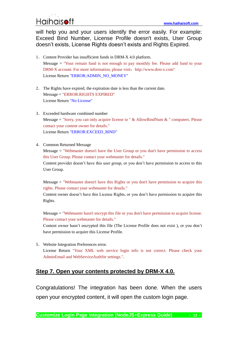# **[www.haihaisoft.com](http://www.haihaisoft.com/)**

will help you and your users identify the error easily. For example: Exceed Bind Number, License Profile doesn't exists, User Group doesn't exists, License Rights doesn't exists and Rights Expired.

- 1. Content Provider has insufficient funds in DRM-X 4.0 platform. Message = "Your remain fund is not enough to pay monthly fee. Please add fund to your DRM-X account. For more information, please visit: http://www.drm-x.com" License Return "ERROR:ADMIN\_NO\_MONEY"
- 2. The Rights have expired, the expiration date is less than the current date. Message = "ERROR:RIGHTS EXPIRED" License Return "No License"
- 3. Exceeded hardware combined number Message = "Sorry, you can only acquire license in "  $&$  AllowBindNum  $&$  " computers. Please contact your content owner for details." License Return "ERROR:EXCEED\_BIND"
- 4. Common Returned Message

Message = "Webmaster doesn't have the User Group or you don't have permission to access this User Group. Please contact your webmaster for details."

Content provider doesn't have this user group, or you don't have permission to access to this User Group.

Message = "Webmaster doesn't have this Rights or you don't have permission to acquire this rights. Please contact your webmaster for details."

Content owner doesn't have this License Rights, or you don't have permission to acquire this Rights.

Message = "Webmaster hasn't encrypt this file or you don't have permission to acquire license. Please contact your webmaster for details."

Content owner hasn't encrypted this file (The License Profile does not exist ), or you don't have permission to acquire this License Profile.

5. Website Integration Preferences error. License Return "Your XML web service login info is not correct. Please check your AdminEmail and WebServiceAuthStr settings.".

#### <span id="page-12-0"></span>**Step 7. Open your contents protected by DRM-X 4.0.**

Congratulations! The integration has been done. When the users open your encrypted content, it will open the custom login page.